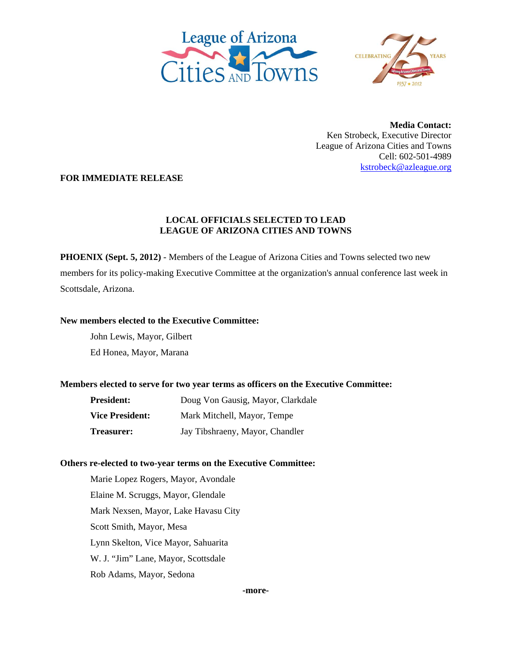



**Media Contact:**  Ken Strobeck, Executive Director League of Arizona Cities and Towns Cell: 602-501-4989 kstrobeck@azleague.org

**FOR IMMEDIATE RELEASE** 

# **LOCAL OFFICIALS SELECTED TO LEAD LEAGUE OF ARIZONA CITIES AND TOWNS**

**PHOENIX (Sept. 5, 2012)** - Members of the League of Arizona Cities and Towns selected two new members for its policy-making Executive Committee at the organization's annual conference last week in Scottsdale, Arizona.

#### **New members elected to the Executive Committee:**

John Lewis, Mayor, Gilbert Ed Honea, Mayor, Marana

## **Members elected to serve for two year terms as officers on the Executive Committee:**

| <b>President:</b>      | Doug Von Gausig, Mayor, Clarkdale |
|------------------------|-----------------------------------|
| <b>Vice President:</b> | Mark Mitchell, Mayor, Tempe       |
| <b>Treasurer:</b>      | Jay Tibshraeny, Mayor, Chandler   |

## **Others re-elected to two-year terms on the Executive Committee:**

Marie Lopez Rogers, Mayor, Avondale Elaine M. Scruggs, Mayor, Glendale Mark Nexsen, Mayor, Lake Havasu City Scott Smith, Mayor, Mesa Lynn Skelton, Vice Mayor, Sahuarita W. J. "Jim" Lane, Mayor, Scottsdale Rob Adams, Mayor, Sedona

**-more-**